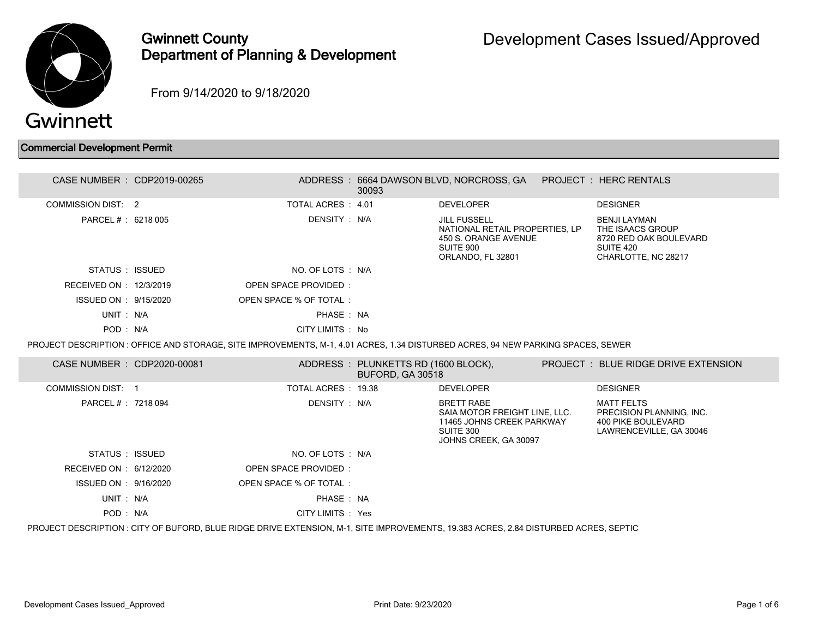

## Gwinnett County Department of Planning & Development

From 9/14/2020 to 9/18/2020

## Commercial Development Permit

| CASE NUMBER : CDP2019-00265 |                                                                                                                                 | 30093                                                   | ADDRESS : 6664 DAWSON BLVD, NORCROSS, GA                                                                              | PROJECT: HERC RENTALS                                                                                 |
|-----------------------------|---------------------------------------------------------------------------------------------------------------------------------|---------------------------------------------------------|-----------------------------------------------------------------------------------------------------------------------|-------------------------------------------------------------------------------------------------------|
| <b>COMMISSION DIST: 2</b>   | TOTAL ACRES : 4.01                                                                                                              |                                                         | <b>DEVELOPER</b>                                                                                                      | <b>DESIGNER</b>                                                                                       |
| PARCEL #: 6218 005          | DENSITY: N/A                                                                                                                    |                                                         | <b>JILL FUSSELL</b><br>NATIONAL RETAIL PROPERTIES, LP<br>450 S. ORANGE AVENUE<br>SUITE 900<br>ORLANDO, FL 32801       | <b>BENJI LAYMAN</b><br>THE ISAACS GROUP<br>8720 RED OAK BOULEVARD<br>SUITE 420<br>CHARLOTTE, NC 28217 |
| STATUS : ISSUED             | NO. OF LOTS : N/A                                                                                                               |                                                         |                                                                                                                       |                                                                                                       |
| RECEIVED ON : 12/3/2019     | <b>OPEN SPACE PROVIDED:</b>                                                                                                     |                                                         |                                                                                                                       |                                                                                                       |
| ISSUED ON : 9/15/2020       | OPEN SPACE % OF TOTAL:                                                                                                          |                                                         |                                                                                                                       |                                                                                                       |
| UNIT: N/A                   | PHASE: NA                                                                                                                       |                                                         |                                                                                                                       |                                                                                                       |
| POD: N/A                    | CITY LIMITS : No                                                                                                                |                                                         |                                                                                                                       |                                                                                                       |
|                             | PROJECT DESCRIPTION: OFFICE AND STORAGE, SITE IMPROVEMENTS, M-1, 4.01 ACRES, 1.34 DISTURBED ACRES, 94 NEW PARKING SPACES, SEWER |                                                         |                                                                                                                       |                                                                                                       |
| CASE NUMBER : CDP2020-00081 |                                                                                                                                 | ADDRESS: PLUNKETTS RD (1600 BLOCK),<br>BUFORD, GA 30518 |                                                                                                                       | <b>PROJECT : BLUE RIDGE DRIVE EXTENSION</b>                                                           |
| COMMISSION DIST: 1          | TOTAL ACRES : 19.38                                                                                                             |                                                         | <b>DEVELOPER</b>                                                                                                      | <b>DESIGNER</b>                                                                                       |
| PARCEL #: 7218 094          | DENSITY: N/A                                                                                                                    |                                                         | <b>BRETT RABE</b><br>SAIA MOTOR FREIGHT LINE, LLC.<br>11465 JOHNS CREEK PARKWAY<br>SUITE 300<br>JOHNS CREEK, GA 30097 | <b>MATT FELTS</b><br>PRECISION PLANNING, INC.<br><b>400 PIKE BOULEVARD</b><br>LAWRENCEVILLE, GA 30046 |
| STATUS : ISSUED             | NO. OF LOTS: N/A                                                                                                                |                                                         |                                                                                                                       |                                                                                                       |
|                             |                                                                                                                                 |                                                         |                                                                                                                       |                                                                                                       |
| RECEIVED ON : 6/12/2020     | <b>OPEN SPACE PROVIDED:</b>                                                                                                     |                                                         |                                                                                                                       |                                                                                                       |
| ISSUED ON : 9/16/2020       | OPEN SPACE % OF TOTAL:                                                                                                          |                                                         |                                                                                                                       |                                                                                                       |
| UNIT: N/A                   | PHASE: NA                                                                                                                       |                                                         |                                                                                                                       |                                                                                                       |
| POD: N/A                    | CITY LIMITS : Yes                                                                                                               |                                                         |                                                                                                                       |                                                                                                       |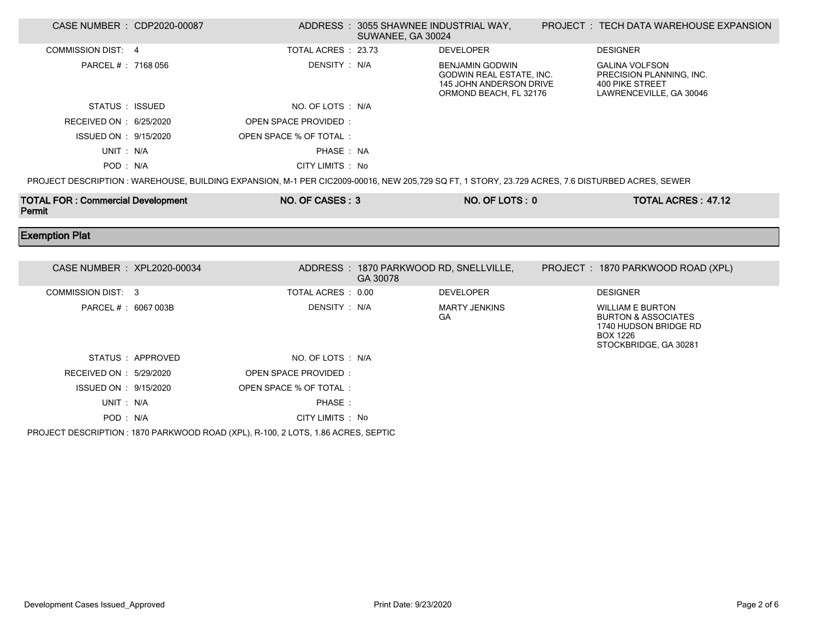| CASE NUMBER : CDP2020-00087                        |                  |                                                                                                                                                  | ADDRESS: 3055 SHAWNEE INDUSTRIAL WAY,<br>SUWANEE, GA 30024 |                                                                                                         | PROJECT : TECH DATA WAREHOUSE EXPANSION                                                                                        |
|----------------------------------------------------|------------------|--------------------------------------------------------------------------------------------------------------------------------------------------|------------------------------------------------------------|---------------------------------------------------------------------------------------------------------|--------------------------------------------------------------------------------------------------------------------------------|
| <b>COMMISSION DIST: 4</b>                          |                  | TOTAL ACRES : 23.73                                                                                                                              |                                                            | <b>DEVELOPER</b>                                                                                        | <b>DESIGNER</b>                                                                                                                |
| PARCEL # : 7168 056                                |                  | DENSITY: N/A                                                                                                                                     |                                                            | <b>BENJAMIN GODWIN</b><br>GODWIN REAL ESTATE, INC.<br>145 JOHN ANDERSON DRIVE<br>ORMOND BEACH, FL 32176 | <b>GALINA VOLFSON</b><br>PRECISION PLANNING, INC.<br>400 PIKE STREET<br>LAWRENCEVILLE, GA 30046                                |
| STATUS : ISSUED                                    |                  | NO. OF LOTS : N/A                                                                                                                                |                                                            |                                                                                                         |                                                                                                                                |
| RECEIVED ON : 6/25/2020                            |                  | OPEN SPACE PROVIDED:                                                                                                                             |                                                            |                                                                                                         |                                                                                                                                |
| ISSUED ON : 9/15/2020                              |                  | OPEN SPACE % OF TOTAL:                                                                                                                           |                                                            |                                                                                                         |                                                                                                                                |
| UNIT: N/A                                          |                  | PHASE: NA                                                                                                                                        |                                                            |                                                                                                         |                                                                                                                                |
| POD: N/A                                           |                  | CITY LIMITS : No                                                                                                                                 |                                                            |                                                                                                         |                                                                                                                                |
|                                                    |                  | PROJECT DESCRIPTION : WAREHOUSE, BUILDING EXPANSION, M-1 PER CIC2009-00016, NEW 205,729 SQ FT, 1 STORY, 23.729 ACRES, 7.6 DISTURBED ACRES, SEWER |                                                            |                                                                                                         |                                                                                                                                |
| <b>TOTAL FOR: Commercial Development</b><br>Permit |                  | NO. OF CASES: 3                                                                                                                                  |                                                            | NO. OF LOTS: 0                                                                                          | <b>TOTAL ACRES: 47.12</b>                                                                                                      |
|                                                    |                  |                                                                                                                                                  |                                                            |                                                                                                         |                                                                                                                                |
| <b>Exemption Plat</b>                              |                  |                                                                                                                                                  |                                                            |                                                                                                         |                                                                                                                                |
|                                                    |                  |                                                                                                                                                  |                                                            |                                                                                                         |                                                                                                                                |
| CASE NUMBER : XPL2020-00034                        |                  |                                                                                                                                                  | ADDRESS: 1870 PARKWOOD RD, SNELLVILLE,<br>GA 30078         |                                                                                                         | PROJECT: 1870 PARKWOOD ROAD (XPL)                                                                                              |
| <b>COMMISSION DIST: 3</b>                          |                  | TOTAL ACRES : 0.00                                                                                                                               |                                                            | <b>DEVELOPER</b>                                                                                        | <b>DESIGNER</b>                                                                                                                |
| PARCEL #: 6067 003B                                |                  | DENSITY : N/A                                                                                                                                    |                                                            | <b>MARTY JENKINS</b><br>GA                                                                              | <b>WILLIAM E BURTON</b><br><b>BURTON &amp; ASSOCIATES</b><br>1740 HUDSON BRIDGE RD<br><b>BOX 1226</b><br>STOCKBRIDGE, GA 30281 |
|                                                    | STATUS: APPROVED | NO. OF LOTS : N/A                                                                                                                                |                                                            |                                                                                                         |                                                                                                                                |
| RECEIVED ON : 5/29/2020                            |                  | OPEN SPACE PROVIDED:                                                                                                                             |                                                            |                                                                                                         |                                                                                                                                |
| ISSUED ON : 9/15/2020                              |                  | OPEN SPACE % OF TOTAL:                                                                                                                           |                                                            |                                                                                                         |                                                                                                                                |
| UNIT: N/A                                          |                  | PHASE:                                                                                                                                           |                                                            |                                                                                                         |                                                                                                                                |

PROJECT DESCRIPTION : 1870 PARKWOOD ROAD (XPL), R-100, 2 LOTS, 1.86 ACRES, SEPTIC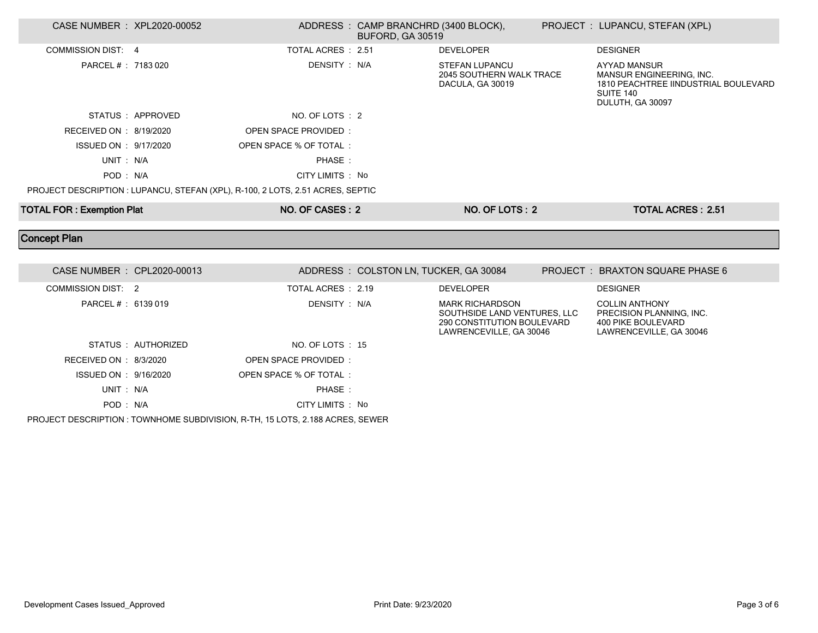| CASE NUMBER : XPL2020-00052      |                    |                                                                                | ADDRESS: CAMP BRANCHRD (3400 BLOCK),<br><b>BUFORD, GA 30519</b> |                                                                                                                 | PROJECT : LUPANCU, STEFAN (XPL)                                                                                          |
|----------------------------------|--------------------|--------------------------------------------------------------------------------|-----------------------------------------------------------------|-----------------------------------------------------------------------------------------------------------------|--------------------------------------------------------------------------------------------------------------------------|
| <b>COMMISSION DIST: 4</b>        |                    | TOTAL ACRES : 2.51                                                             |                                                                 | <b>DEVELOPER</b>                                                                                                | <b>DESIGNER</b>                                                                                                          |
| PARCEL # : 7183 020              |                    | DENSITY: N/A                                                                   |                                                                 | <b>STEFAN LUPANCU</b><br>2045 SOUTHERN WALK TRACE<br>DACULA, GA 30019                                           | <b>AYYAD MANSUR</b><br>MANSUR ENGINEERING, INC.<br>1810 PEACHTREE IINDUSTRIAL BOULEVARD<br>SUITE 140<br>DULUTH, GA 30097 |
|                                  | STATUS: APPROVED   | NO. OF LOTS : 2                                                                |                                                                 |                                                                                                                 |                                                                                                                          |
| RECEIVED ON : 8/19/2020          |                    | <b>OPEN SPACE PROVIDED:</b>                                                    |                                                                 |                                                                                                                 |                                                                                                                          |
| ISSUED ON : 9/17/2020            |                    | OPEN SPACE % OF TOTAL:                                                         |                                                                 |                                                                                                                 |                                                                                                                          |
| UNIT: N/A                        |                    | PHASE:                                                                         |                                                                 |                                                                                                                 |                                                                                                                          |
| POD: N/A                         |                    | CITY LIMITS : No                                                               |                                                                 |                                                                                                                 |                                                                                                                          |
|                                  |                    | PROJECT DESCRIPTION : LUPANCU, STEFAN (XPL), R-100, 2 LOTS, 2.51 ACRES, SEPTIC |                                                                 |                                                                                                                 |                                                                                                                          |
| <b>TOTAL FOR: Exemption Plat</b> |                    | NO. OF CASES: 2                                                                |                                                                 | NO. OF LOTS: 2                                                                                                  | <b>TOTAL ACRES: 2.51</b>                                                                                                 |
|                                  |                    |                                                                                |                                                                 |                                                                                                                 |                                                                                                                          |
| <b>Concept Plan</b>              |                    |                                                                                |                                                                 |                                                                                                                 |                                                                                                                          |
|                                  |                    |                                                                                |                                                                 |                                                                                                                 |                                                                                                                          |
| CASE NUMBER : CPL2020-00013      |                    |                                                                                | ADDRESS: COLSTON LN, TUCKER, GA 30084                           |                                                                                                                 | PROJECT: BRAXTON SQUARE PHASE 6                                                                                          |
| <b>COMMISSION DIST: 2</b>        |                    | TOTAL ACRES : 2.19                                                             |                                                                 | <b>DEVELOPER</b>                                                                                                | <b>DESIGNER</b>                                                                                                          |
| PARCEL # : 6139 019              |                    | DENSITY : N/A                                                                  |                                                                 | <b>MARK RICHARDSON</b><br>SOUTHSIDE LAND VENTURES. LLC<br>290 CONSTITUTION BOULEVARD<br>LAWRENCEVILLE, GA 30046 | <b>COLLIN ANTHONY</b><br>PRECISION PLANNING, INC.<br><b>400 PIKE BOULEVARD</b><br>LAWRENCEVILLE, GA 30046                |
|                                  | STATUS: AUTHORIZED | NO. OF LOTS: 15                                                                |                                                                 |                                                                                                                 |                                                                                                                          |
| RECEIVED ON : 8/3/2020           |                    | OPEN SPACE PROVIDED:                                                           |                                                                 |                                                                                                                 |                                                                                                                          |
| ISSUED ON : 9/16/2020            |                    | OPEN SPACE % OF TOTAL:                                                         |                                                                 |                                                                                                                 |                                                                                                                          |
| UNIT: N/A                        |                    | PHASE:                                                                         |                                                                 |                                                                                                                 |                                                                                                                          |

PROJECT DESCRIPTION : TOWNHOME SUBDIVISION, R-TH, 15 LOTS, 2.188 ACRES, SEWER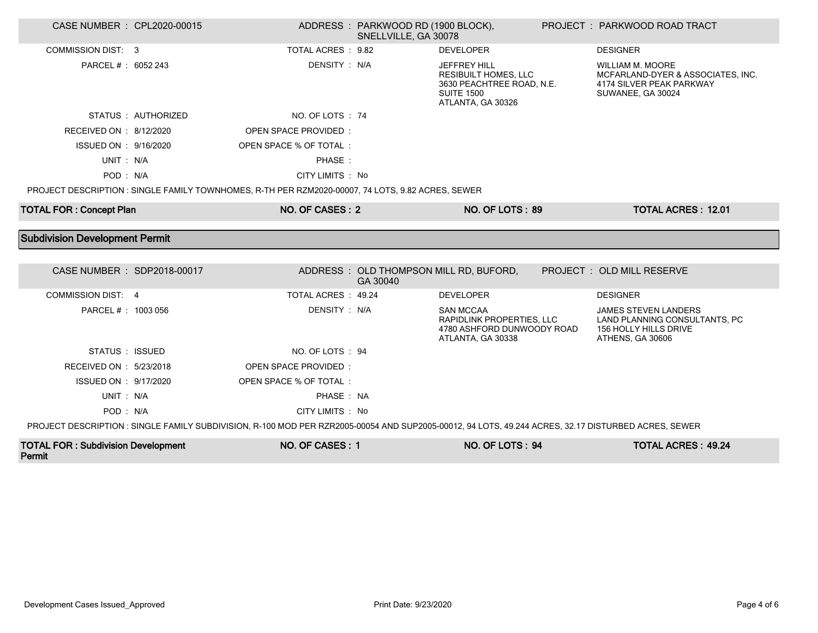| CASE NUMBER : CPL2020-00015           |                    |                                                                                                   | ADDRESS: PARKWOOD RD (1900 BLOCK),<br>SNELLVILLE, GA 30078 |                                                                                                                           | PROJECT : PARKWOOD ROAD TRACT                                                                                 |
|---------------------------------------|--------------------|---------------------------------------------------------------------------------------------------|------------------------------------------------------------|---------------------------------------------------------------------------------------------------------------------------|---------------------------------------------------------------------------------------------------------------|
| <b>COMMISSION DIST: 3</b>             |                    | TOTAL ACRES : 9.82                                                                                |                                                            | <b>DEVELOPER</b>                                                                                                          | <b>DESIGNER</b>                                                                                               |
| PARCEL # : 6052 243                   |                    | DENSITY: N/A                                                                                      |                                                            | <b>JEFFREY HILL</b><br><b>RESIBUILT HOMES, LLC</b><br>3630 PEACHTREE ROAD, N.E.<br><b>SUITE 1500</b><br>ATLANTA, GA 30326 | <b>WILLIAM M. MOORE</b><br>MCFARLAND-DYER & ASSOCIATES, INC.<br>4174 SILVER PEAK PARKWAY<br>SUWANEE, GA 30024 |
|                                       | STATUS: AUTHORIZED | NO. OF LOTS: 74                                                                                   |                                                            |                                                                                                                           |                                                                                                               |
| RECEIVED ON : 8/12/2020               |                    | OPEN SPACE PROVIDED:                                                                              |                                                            |                                                                                                                           |                                                                                                               |
| ISSUED ON : 9/16/2020                 |                    | OPEN SPACE % OF TOTAL:                                                                            |                                                            |                                                                                                                           |                                                                                                               |
| UNIT: N/A                             |                    | PHASE:                                                                                            |                                                            |                                                                                                                           |                                                                                                               |
| POD: N/A                              |                    | CITY LIMITS: No                                                                                   |                                                            |                                                                                                                           |                                                                                                               |
|                                       |                    | PROJECT DESCRIPTION : SINGLE FAMILY TOWNHOMES, R-TH PER RZM2020-00007, 74 LOTS, 9.82 ACRES, SEWER |                                                            |                                                                                                                           |                                                                                                               |
| <b>TOTAL FOR: Concept Plan</b>        |                    | NO. OF CASES: 2                                                                                   |                                                            | NO. OF LOTS: 89                                                                                                           | <b>TOTAL ACRES: 12.01</b>                                                                                     |
|                                       |                    |                                                                                                   |                                                            |                                                                                                                           |                                                                                                               |
|                                       |                    |                                                                                                   |                                                            |                                                                                                                           |                                                                                                               |
| <b>Subdivision Development Permit</b> |                    |                                                                                                   |                                                            |                                                                                                                           |                                                                                                               |
|                                       |                    |                                                                                                   |                                                            |                                                                                                                           |                                                                                                               |
| CASE NUMBER : SDP2018-00017           |                    |                                                                                                   | GA 30040                                                   | ADDRESS: OLD THOMPSON MILL RD, BUFORD,                                                                                    | PROJECT: OLD MILL RESERVE                                                                                     |
| COMMISSION DIST: 4                    |                    | TOTAL ACRES: 49.24                                                                                |                                                            | <b>DEVELOPER</b>                                                                                                          | <b>DESIGNER</b>                                                                                               |
| PARCEL # : 1003 056                   |                    | DENSITY: N/A                                                                                      |                                                            | <b>SAN MCCAA</b><br>RAPIDLINK PROPERTIES, LLC<br>4780 ASHFORD DUNWOODY ROAD<br>ATLANTA, GA 30338                          | <b>JAMES STEVEN LANDERS</b><br>LAND PLANNING CONSULTANTS, PC<br>156 HOLLY HILLS DRIVE<br>ATHENS, GA 30606     |
| STATUS : ISSUED                       |                    | NO. OF LOTS: 94                                                                                   |                                                            |                                                                                                                           |                                                                                                               |
| RECEIVED ON : 5/23/2018               |                    | OPEN SPACE PROVIDED:                                                                              |                                                            |                                                                                                                           |                                                                                                               |
| ISSUED ON : 9/17/2020                 |                    | OPEN SPACE % OF TOTAL:                                                                            |                                                            |                                                                                                                           |                                                                                                               |
| UNIT: N/A                             |                    | PHASE: NA                                                                                         |                                                            |                                                                                                                           |                                                                                                               |
| POD: N/A                              |                    | CITY LIMITS : No                                                                                  |                                                            |                                                                                                                           |                                                                                                               |

| <b>TOTAL FOR: Subdivision Development</b> | NO. OF CASES : | <b>NO. OF LOTS: 94</b> | <b>TOTAL ACRES: 49.24</b> |
|-------------------------------------------|----------------|------------------------|---------------------------|
| Permit                                    |                |                        |                           |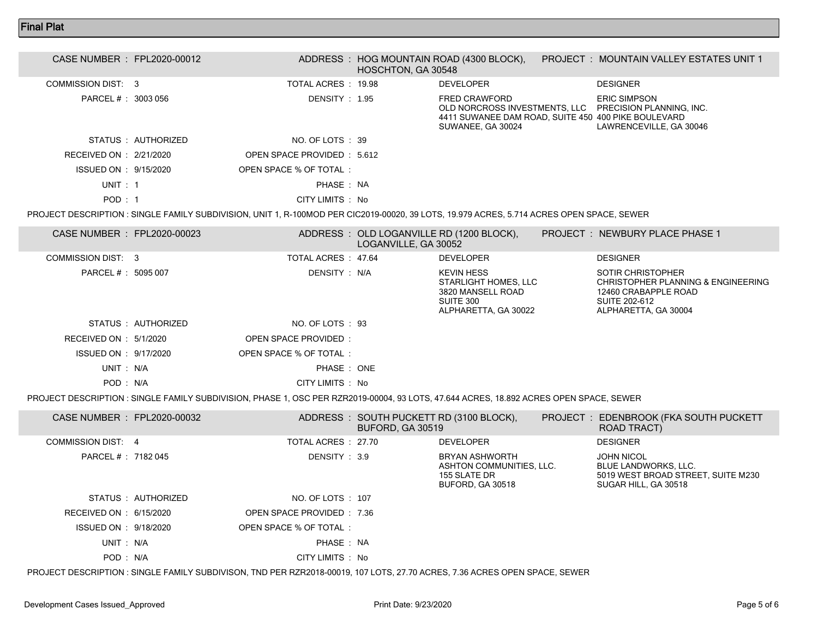## Final Plat

| CASE NUMBER : FPL2020-00012 |                             | HOSCHTON, GA 30548 | ADDRESS : HOG MOUNTAIN ROAD (4300 BLOCK),                                                        | <b>PROJECT : MOUNTAIN VALLEY ESTATES UNIT 1</b>                                                          |  |
|-----------------------------|-----------------------------|--------------------|--------------------------------------------------------------------------------------------------|----------------------------------------------------------------------------------------------------------|--|
| COMMISSION DIST: 3          | TOTAL ACRES : 19.98         |                    | <b>DEVELOPER</b>                                                                                 | <b>DESIGNER</b>                                                                                          |  |
| PARCEL # : 3003 056         | DENSITY: 1.95               |                    | <b>FRED CRAWFORD</b><br>4411 SUWANEE DAM ROAD, SUITE 450 400 PIKE BOULEVARD<br>SUWANEE, GA 30024 | <b>ERIC SIMPSON</b><br>OLD NORCROSS INVESTMENTS, LLC PRECISION PLANNING, INC.<br>LAWRENCEVILLE, GA 30046 |  |
| STATUS AUTHORIZED           | NO. OF LOTS : 39            |                    |                                                                                                  |                                                                                                          |  |
| RECEIVED ON : 2/21/2020     | OPEN SPACE PROVIDED : 5.612 |                    |                                                                                                  |                                                                                                          |  |
| ISSUED ON : 9/15/2020       | OPEN SPACE % OF TOTAL:      |                    |                                                                                                  |                                                                                                          |  |
| UNIT: 1                     | PHASE: NA                   |                    |                                                                                                  |                                                                                                          |  |
| POD:1                       | CITY LIMITS : No            |                    |                                                                                                  |                                                                                                          |  |
|                             |                             |                    |                                                                                                  |                                                                                                          |  |

PROJECT DESCRIPTION : SINGLE FAMILY SUBDIVISION, UNIT 1, R-100MOD PER CIC2019-00020, 39 LOTS, 19.979 ACRES, 5.714 ACRES OPEN SPACE, SEWER

| CASE NUMBER : FPL2020-00023 |                   |                        | LOGANVILLE, GA 30052 | ADDRESS : OLD LOGANVILLE RD (1200 BLOCK),                                                           | PROJECT: NEWBURY PLACE PHASE 1                                                                                                  |
|-----------------------------|-------------------|------------------------|----------------------|-----------------------------------------------------------------------------------------------------|---------------------------------------------------------------------------------------------------------------------------------|
| COMMISSION DIST: 3          |                   | TOTAL ACRES 47.64      |                      | <b>DEVELOPER</b>                                                                                    | <b>DESIGNER</b>                                                                                                                 |
| PARCEL # : 5095 007         |                   | DENSITY: N/A           |                      | <b>KEVIN HESS</b><br>STARLIGHT HOMES, LLC<br>3820 MANSELL ROAD<br>SUITE 300<br>ALPHARETTA, GA 30022 | SOTIR CHRISTOPHER<br>CHRISTOPHER PLANNING & ENGINEERING<br>12460 CRABAPPLE ROAD<br><b>SUITE 202-612</b><br>ALPHARETTA, GA 30004 |
|                             | STATUS AUTHORIZED | NO. OF LOTS : 93       |                      |                                                                                                     |                                                                                                                                 |
| RECEIVED ON : $5/1/2020$    |                   | OPEN SPACE PROVIDED:   |                      |                                                                                                     |                                                                                                                                 |
| ISSUED ON : 9/17/2020       |                   | OPEN SPACE % OF TOTAL: |                      |                                                                                                     |                                                                                                                                 |
| UNIT: N/A                   |                   | PHASE: ONE             |                      |                                                                                                     |                                                                                                                                 |
| POD: N/A                    |                   | CITY LIMITS : No       |                      |                                                                                                     |                                                                                                                                 |

PROJECT DESCRIPTION : SINGLE FAMILY SUBDIVISION, PHASE 1, OSC PER RZR2019-00004, 93 LOTS, 47.644 ACRES, 18.892 ACRES OPEN SPACE, SEWER

| CASE NUMBER : FPL2020-00032 |                            | <b>BUFORD, GA 30519</b> | ADDRESS: SOUTH PUCKETT RD (3100 BLOCK),                                        | PROJECT : EDENBROOK (FKA SOUTH PUCKETT<br>ROAD TRACT)                                                   |
|-----------------------------|----------------------------|-------------------------|--------------------------------------------------------------------------------|---------------------------------------------------------------------------------------------------------|
| COMMISSION DIST 4           | TOTAL ACRES 27.70          |                         | <b>DEVELOPER</b>                                                               | <b>DESIGNER</b>                                                                                         |
| PARCEL # : 7182 045         | DENSITY: 3.9               |                         | BRYAN ASHWORTH<br>ASHTON COMMUNITIES, LLC.<br>155 SLATE DR<br>BUFORD, GA 30518 | <b>JOHN NICOL</b><br>BLUE LANDWORKS, LLC.<br>5019 WEST BROAD STREET, SUITE M230<br>SUGAR HILL, GA 30518 |
| STATUS : AUTHORIZED         | NO. OF LOTS : 107          |                         |                                                                                |                                                                                                         |
| RECEIVED ON : $6/15/2020$   | OPEN SPACE PROVIDED : 7.36 |                         |                                                                                |                                                                                                         |
| ISSUED ON : 9/18/2020       | OPEN SPACE % OF TOTAL:     |                         |                                                                                |                                                                                                         |
| UNIT : N/A                  | PHASE: NA                  |                         |                                                                                |                                                                                                         |
| POD: N/A                    | CITY LIMITS : No           |                         |                                                                                |                                                                                                         |

PROJECT DESCRIPTION : SINGLE FAMILY SUBDIVISON, TND PER RZR2018-00019, 107 LOTS, 27.70 ACRES, 7.36 ACRES OPEN SPACE, SEWER